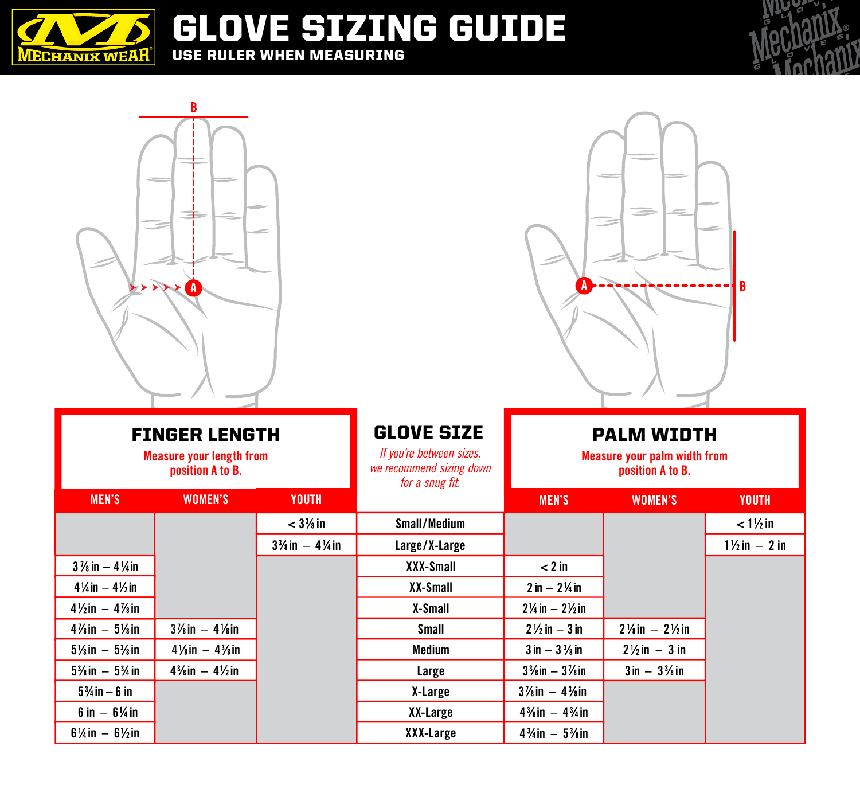

GLOVE SIZING GUIDE USE RULER WHEN MEASURING